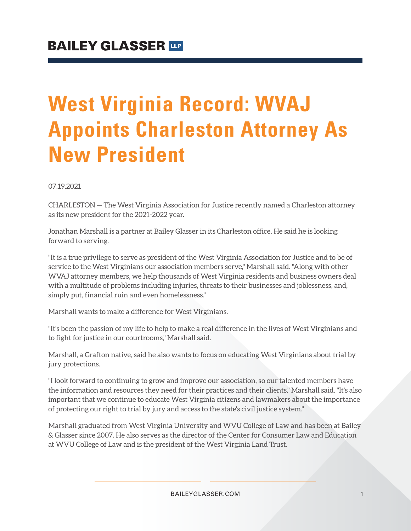## **West Virginia Record: WVAJ Appoints Charleston Attorney As New President**

07.19.2021

CHARLESTON — The West Virginia Association for Justice recently named a Charleston attorney as its new president for the 2021-2022 year.

Jonathan Marshall is a partner at Bailey Glasser in its Charleston office. He said he is looking forward to serving.

"It is a true privilege to serve as president of the West Virginia Association for Justice and to be of service to the West Virginians our association members serve," Marshall said. "Along with other WVAJ attorney members, we help thousands of West Virginia residents and business owners deal with a multitude of problems including injuries, threats to their businesses and joblessness, and, simply put, financial ruin and even homelessness."

Marshall wants to make a difference for West Virginians.

"It's been the passion of my life to help to make a real difference in the lives of West Virginians and to fight for justice in our courtrooms," Marshall said.

Marshall, a Grafton native, said he also wants to focus on educating West Virginians about trial by jury protections.

"I look forward to continuing to grow and improve our association, so our talented members have the information and resources they need for their practices and their clients," Marshall said. "It's also important that we continue to educate West Virginia citizens and lawmakers about the importance of protecting our right to trial by jury and access to the state's civil justice system."

Marshall graduated from West Virginia University and WVU College of Law and has been at Bailey & Glasser since 2007. He also serves as the director of the Center for Consumer Law and Education at WVU College of Law and is the president of the West Virginia Land Trust.